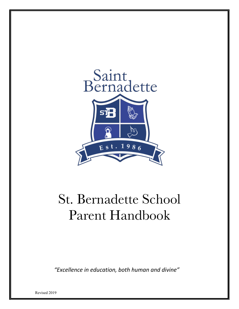

*"Excellence in education, both human and divine"*

Revised 2019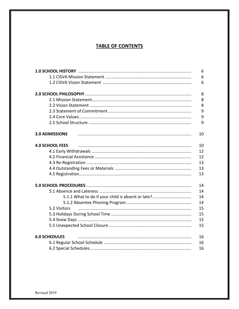# **TABLE OF CONTENTS**

|                                                   | 6  |
|---------------------------------------------------|----|
|                                                   | 6  |
|                                                   | 6  |
|                                                   | 8  |
|                                                   | 8  |
|                                                   | 8  |
|                                                   | 9  |
|                                                   | 9  |
|                                                   | 9  |
| <b>3.0 ADMISSIONS</b>                             | 10 |
| <b>4.0 SCHOOL FEES</b>                            | 10 |
|                                                   | 12 |
|                                                   | 12 |
|                                                   | 13 |
|                                                   | 13 |
|                                                   | 13 |
|                                                   | 14 |
|                                                   | 14 |
| 5.1.1 What to do if your child is absent or late? | 14 |
|                                                   | 14 |
| 5.2 Visitors                                      | 15 |
|                                                   | 15 |
|                                                   | 15 |
|                                                   | 15 |
| <b>6.0 SCHEDULES</b>                              | 16 |
|                                                   | 16 |
|                                                   | 16 |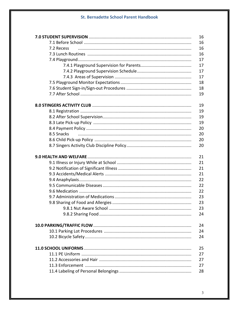|            | 16 |
|------------|----|
|            | 16 |
| 7.2 Recess | 16 |
|            | 16 |
|            | 17 |
|            | 17 |
|            | 17 |
|            | 17 |
|            | 18 |
|            | 18 |
|            | 19 |
|            | 19 |
|            | 19 |
|            | 19 |
|            | 19 |
|            | 20 |
| 8.5 Snacks | 20 |
|            | 20 |
|            | 20 |
|            | 21 |
|            | 21 |
|            | 21 |
|            | 21 |
|            | 22 |
|            | 22 |
|            | 22 |
|            | 23 |
|            | 23 |
|            | 23 |
|            | 24 |
|            | 24 |
|            | 24 |
|            | 24 |
|            | 25 |
|            | 27 |
|            | 27 |
|            | 27 |
|            | 28 |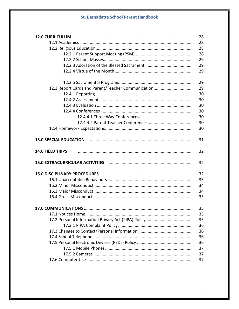| <b>12.0 CURRICULUM</b>                             | 28 |
|----------------------------------------------------|----|
|                                                    | 28 |
|                                                    | 28 |
|                                                    | 28 |
|                                                    | 29 |
|                                                    | 29 |
|                                                    | 29 |
|                                                    | 29 |
| 12.3 Report Cards and Parent/Teacher Communication | 29 |
|                                                    | 30 |
|                                                    | 30 |
|                                                    | 30 |
|                                                    | 30 |
|                                                    | 30 |
|                                                    | 30 |
|                                                    | 30 |
|                                                    | 31 |
| 14.0 FIELD TRIPS                                   | 32 |
|                                                    | 32 |
|                                                    | 32 |
|                                                    | 33 |
|                                                    | 34 |
|                                                    | 34 |
|                                                    | 35 |
| <b>17.0 COMMUNICATIONS</b>                         | 35 |
|                                                    | 35 |
|                                                    | 35 |
|                                                    | 36 |
|                                                    | 36 |
|                                                    | 36 |
|                                                    | 36 |
|                                                    | 37 |
|                                                    | 37 |
|                                                    | 37 |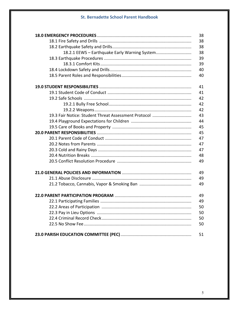|                                                      | 38 |
|------------------------------------------------------|----|
|                                                      | 38 |
|                                                      | 38 |
| 18.2.1 EEWS - Earthquake Early Warning System        | 38 |
|                                                      | 39 |
|                                                      | 39 |
|                                                      | 40 |
|                                                      | 40 |
|                                                      | 41 |
|                                                      | 41 |
|                                                      | 42 |
|                                                      | 42 |
|                                                      | 42 |
| 19.3 Fair Notice: Student Threat Assessment Protocol | 43 |
|                                                      | 44 |
|                                                      | 45 |
|                                                      | 45 |
|                                                      | 47 |
|                                                      | 47 |
|                                                      | 47 |
|                                                      | 48 |
|                                                      | 49 |
|                                                      | 49 |
|                                                      | 49 |
|                                                      | 49 |
|                                                      | 49 |
|                                                      | 49 |
|                                                      | 50 |
|                                                      | 50 |
|                                                      | 50 |
|                                                      | 50 |
|                                                      | 51 |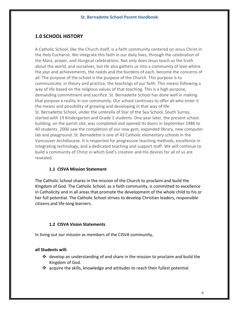# **1.0 SCHOOL HISTORY**

A Catholic School, like the Church itself, is a faith community centered on Jesus Christ in the Holy Eucharist. We integrate this faith in our daily lives, through the celebration of the Mass, prayer, and liturgical celebrations. Not only does Jesus teach us the truth about the world, and ourselves, but He also gathers us into a community of love where the joys and achievements, the needs and the burdens of each, become the concerns of all. The purpose of the school is the purpose of the Church. This purpose is to communicate, in theory and practice, the teachings of our faith. This means following a way of life based on the religious values of that teaching. This is a high purpose, demanding commitment and sacrifice. St. Bernadette School has done well in making that purpose a reality in our community. Our school continues to offer all who enter it the means and possibility of growing and developing in that way of life. St. Bernadette School, under the umbrella of Star of the Sea School, South Surrey, started with 19 Kindergarten and Grade 1 students. One year later, the present school building, on the parish site, was completed and opened its doors in September 1986 to 40 students. 2006 saw the completion of our new gym, expanded library, new computer lab and playground. St. Bernadette is one of 43 Catholic elementary schools in the Vancouver Archdiocese. It is respected for progressive teaching methods, excellence in integrating technology, and a dedicated teaching and support staff. We will continue to build a community of Christ in which God's creation and His desires for all of us are revealed.

# **1.1 CISVA Mission Statement**

The Catholic School shares in the mission of the Church to proclaim and build the Kingdom of God. The Catholic School, as a faith community, is committed to excellence in Catholicity and in all areas that promote the development of the whole child to his or her full potential. The Catholic School strives to develop Christian leaders, responsible citizens and life-long learners.

# **1.2 CISVA Vision Statements**

In living out our mission as members of the CISVA community,

# **all Students will:**

- $\div$  develop an understanding of and share in the mission to proclaim and build the Kingdom of God.
- $\cdot$  acquire the skills, knowledge and attitudes to reach their fullest potential.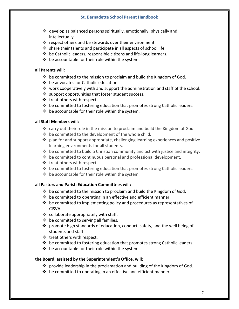- $\cdot$  develop as balanced persons spiritually, emotionally, physically and intellectually.
- $\cdot \cdot$  respect others and be stewards over their environment.
- $\cdot$  share their talents and participate in all aspects of school life.
- $\cdot \cdot$  be Catholic leaders, responsible citizens and life-long learners.
- $\cdot \cdot$  be accountable for their role within the system.

#### **all Parents will:**

- $\cdot \cdot$  be committed to the mission to proclaim and build the Kingdom of God.
- $\div$  be advocates for Catholic education.
- work cooperatively with and support the administration and staff of the school.
- $\cdot$  support opportunities that foster student success.
- ❖ treat others with respect.
- $\triangle$  be committed to fostering education that promotes strong Catholic leaders.
- $\div$  be accountable for their role within the system.

#### **all Staff Members will:**

- $\cdot$  carry out their role in the mission to proclaim and build the Kingdom of God.
- $\cdot \cdot$  be committed to the development of the whole child.
- $\cdot \cdot$  plan for and support appropriate, challenging learning experiences and positive learning environments for all students.
- $\cdot \cdot \cdot$  be committed to build a Christian community and act with justice and integrity.
- $\cdot \cdot$  be committed to continuous personal and professional development.
- $\cdot \cdot$  treat others with respect.
- $\cdot \cdot$  be committed to fostering education that promotes strong Catholic leaders.
- $\cdot \cdot$  be accountable for their role within the system.

## **all Pastors and Parish Education Committees will:**

- $\cdot \cdot$  be committed to the mission to proclaim and build the Kingdom of God.
- $\cdot \cdot$  be committed to operating in an effective and efficient manner.
- $\triangleleft$  be committed to implementing policy and procedures as representatives of CISVA.
- $\div$  collaborate appropriately with staff.
- $\div$  be committed to serving all families.
- $\div$  promote high standards of education, conduct, safety, and the well being of students and staff.
- ❖ treat others with respect.
- $\div$  be committed to fostering education that promotes strong Catholic leaders.
- $\div$  be accountable for their role within the system.

#### **the Board, assisted by the Superintendent's Office, will:**

- $\cdot$  provide leadership in the proclamation and building of the Kingdom of God.
- $\cdot \cdot$  be committed to operating in an effective and efficient manner.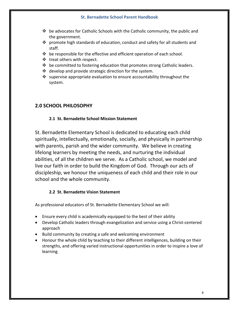- $\div$  be advocates for Catholic Schools with the Catholic community, the public and the government.
- $\mathbf{\hat{P}}$  promote high standards of education, conduct and safety for all students and staff.
- $\cdot \cdot$  be responsible for the effective and efficient operation of each school.
- $\cdot \cdot$  treat others with respect.
- $\div$  be committed to fostering education that promotes strong Catholic leaders.
- $\div$  develop and provide strategic direction for the system.
- $\cdot$  supervise appropriate evaluation to ensure accountability throughout the system.

# **2.0 SCHOOL PHILOSOPHY**

# **2.1 St. Bernadette School Mission Statement**

St. Bernadette Elementary School is dedicated to educating each child spiritually, intellectually, emotionally, socially, and physically in partnership with parents, parish and the wider community. We believe in creating lifelong learners by meeting the needs, and nurturing the individual abilities, of all the children we serve. As a Catholic school, we model and live our faith in order to build the Kingdom of God. Through our acts of discipleship, we honour the uniqueness of each child and their role in our school and the whole community.

# **2.2 St. Bernadette Vision Statement**

As professional educators of St. Bernadette Elementary School we will:

- Ensure every child is academically equipped to the best of their ability
- Develop Catholic leaders through evangelization and service using a Christ-centered approach
- Build community by creating a safe and welcoming environment
- Honour the whole child by teaching to their different intelligences, building on their strengths, and offering varied instructional opportunities in order to inspire a love of learning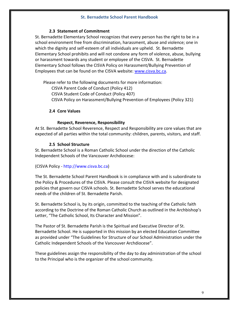## **2.3 Statement of Commitment**

St. Bernadette Elementary School recognizes that every person has the right to be in a school environment free from discrimination, harassment, abuse and violence; one in which the dignity and self-esteem of all individuals are upheld. St. Bernadette Elementary School prohibits and will not condone any form of violence, abuse, bullying or harassment towards any student or employee of the CISVA. St. Bernadette Elementary School follows the CISVA Policy on Harassment/Bullying Prevention of Employees that can be found on the CISVA website: www.cisva.bc.ca.

Please refer to the following documents for more information:

CISVA Parent Code of Conduct (Policy 412)

CISVA Student Code of Conduct (Policy 407)

CISVA Policy on Harassment/Bullying Prevention of Employees (Policy 321)

# **2.4 Core Values**

## **Respect, Reverence, Responsibility**

At St. Bernadette School Reverence, Respect and Responsibility are core values that are expected of all parties within the total community: children, parents, visitors, and staff.

# **2.5 School Structure**

St. Bernadette School is a Roman Catholic School under the direction of the Catholic Independent Schools of the Vancouver Archdiocese:

#### (CISVA Policy - http://www.cisva.bc.ca)

The St. Bernadette School Parent Handbook is in compliance with and is subordinate to the Policy & Procedures of the CISVA. Please consult the CISVA website for designated policies that govern our CISVA schools. St. Bernadette School serves the educational needs of the children of St. Bernadette Parish.

St. Bernadette School is, by its origin, committed to the teaching of the Catholic faith according to the Doctrine of the Roman Catholic Church as outlined in the Archbishop's Letter, "The Catholic School, Its Character and Mission".

The Pastor of St. Bernadette Parish is the Spiritual and Executive Director of St. Bernadette School. He is supported in this mission by an elected Education Committee as provided under "The Guidelines for Structure of our School Administration under the Catholic Independent Schools of the Vancouver Archdiocese".

These guidelines assign the responsibility of the day to day administration of the school to the Principal who is the organizer of the school community.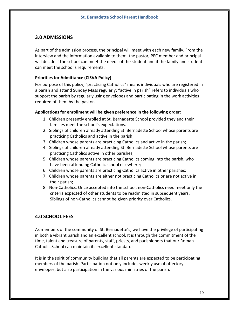# **3.0 ADMISSIONS**

As part of the admission process, the principal will meet with each new family. From the interview and the information available to them, the pastor, PEC member and principal will decide if the school can meet the needs of the student and if the family and student can meet the school's requirements.

#### **Priorities for Admittance (CISVA Policy)**

For purpose of this policy, "practicing Catholics" means individuals who are registered in a parish and attend Sunday Mass regularly; "active in parish" refers to individuals who support the parish by regularly using envelopes and participating in the work activities required of them by the pastor.

#### **Applications for enrollment will be given preference in the following order:**

- 1. Children presently enrolled at St. Bernadette School provided they and their families meet the school's expectations.
- 2. Siblings of children already attending St. Bernadette School whose parents are practicing Catholics and active in the parish;
- 3. Children whose parents are practicing Catholics and active in the parish;
- 4. Siblings of children already attending St. Bernadette School whose parents are practicing Catholics active in other parishes;
- 5. Children whose parents are practicing Catholics coming into the parish, who have been attending Catholic school elsewhere;
- 6. Children whose parents are practicing Catholics active in other parishes;
- 7. Children whose parents are either not practicing Catholics or are not active in their parish;
- 8. Non-Catholics. Once accepted into the school, non-Catholics need meet only the criteria expected of other students to be readmitted in subsequent years. Siblings of non-Catholics cannot be given priority over Catholics.

# **4.0 SCHOOL FEES**

As members of the community of St. Bernadette's, we have the privilege of participating in both a vibrant parish and an excellent school. It is through the commitment of the time, talent and treasure of parents, staff, priests, and parishioners that our Roman Catholic School can maintain its excellent standards.

It is in the spirit of community building that all parents are expected to be participating members of the parish. Participation not only includes weekly use of offertory envelopes, but also participation in the various ministries of the parish.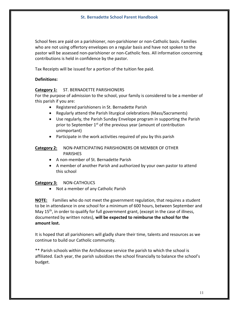School fees are paid on a parishioner, non-parishioner or non-Catholic basis. Families who are not using offertory envelopes on a regular basis and have not spoken to the pastor will be assessed non-parishioner or non-Catholic fees. All information concerning contributions is held in confidence by the pastor.

Tax Receipts will be issued for a portion of the tuition fee paid.

## **Definitions:**

# **Category 1:** ST. BERNADETTE PARISHIONERS

For the purpose of admission to the school, your family is considered to be a member of this parish if you are:

- Registered parishioners in St. Bernadette Parish
- Regularly attend the Parish liturgical celebrations (Mass/Sacraments)
- Use regularly, the Parish Sunday Envelope program in supporting the Parish prior to September  $1<sup>st</sup>$  of the previous year (amount of contribution unimportant)
- Participate in the work activities required of you by this parish

#### **Category 2:** NON-PARTICIPATING PARISHIONERS OR MEMBER OF OTHER PARISHES

- A non-member of St. Bernadette Parish
- A member of another Parish and authorized by your own pastor to attend this school

#### **Category 3:** NON-CATHOLICS

• Not a member of any Catholic Parish

**NOTE:** Families who do not meet the government regulation, that requires a student to be in attendance in one school for a minimum of 600 hours, between September and May  $15<sup>th</sup>$ , in order to qualify for full government grant, (except in the case of illness, documented by written notes), **will be expected to reimburse the school for the amount lost.**

It is hoped that all parishioners will gladly share their time, talents and resources as we continue to build our Catholic community.

\*\* Parish schools within the Archdiocese service the parish to which the school is affiliated. Each year, the parish subsidizes the school financially to balance the school's budget.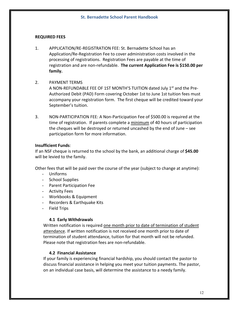#### **REQUIRED FEES**

1. APPLICATION/RE-REGISTRATION FEE: St. Bernadette School has an Application/Re-Registration Fee to cover administration costs involved in the processing of registrations. Registration Fees are payable at the time of registration and are non-refundable. **The current Application Fee is \$150.00 per family.**

## 2. PAYMENT TERMS

A NON-REFUNDABLE FEE OF 1ST MONTH'S TUITION dated July 1<sup>st</sup> and the Pre-Authorized Debit (PAD) Form covering October 1st to June 1st tuition fees must accompany your registration form. The first cheque will be credited toward your September's tuition.

3. NON-PARTICIPATION FEE: A Non-Participation Fee of \$500.00 is required at the time of registration. If parents complete a minimum of 40 hours of participation the cheques will be destroyed or returned uncashed by the end of June – see participation form for more information.

#### **Insufficient Funds**:

If an NSF cheque is returned to the school by the bank, an additional charge of **\$45.00** will be levied to the family.

Other fees that will be paid over the course of the year (subject to change at anytime):

- Uniforms
- School Supplies
- Parent Participation Fee
- Activity Fees
- Workbooks & Equipment
- Recorders & Earthquake Kits
- Field Trips

#### **4.1 Early Withdrawals**

Written notification is required one month prior to date of termination of student attendance. If written notification is not received one month prior to date of termination of student attendance, tuition for that month will not be refunded. Please note that registration fees are non-refundable.

#### **4.2 Financial Assistance**

If your family is experiencing financial hardship, you should contact the pastor to discuss financial assistance in helping you meet your tuition payments. The pastor, on an individual case basis, will determine the assistance to a needy family.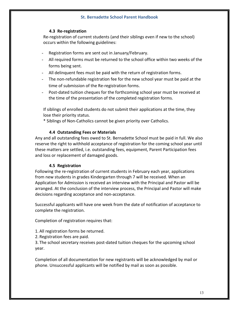#### **4.3 Re-registration**

Re-registration of current students (and their siblings even if new to the school) occurs within the following guidelines:

- Registration forms are sent out in January/February.
- All required forms must be returned to the school office within two weeks of the forms being sent.
- All delinquent fees must be paid with the return of registration forms.
- The non-refundable registration fee for the new school year must be paid at the time of submission of the Re-registration forms.
- Post-dated tuition cheques for the forthcoming school year must be received at the time of the presentation of the completed registration forms.

If siblings of enrolled students do not submit their applications at the time, they lose their priority status.

\* Siblings of Non-Catholics cannot be given priority over Catholics.

#### **4.4 Outstanding Fees or Materials**

Any and all outstanding fees owed to St. Bernadette School must be paid in full. We also reserve the right to withhold acceptance of registration for the coming school year until these matters are settled, i.e. outstanding fees, equipment, Parent Participation fees and loss or replacement of damaged goods.

#### **4.5 Registration**

Following the re-registration of current students in February each year, applications from new students in grades Kindergarten through 7 will be received. When an Application for Admission is received an interview with the Principal and Pastor will be arranged. At the conclusion of the interview process, the Principal and Pastor will make decisions regarding acceptance and non-acceptance.

Successful applicants will have one week from the date of notification of acceptance to complete the registration.

Completion of registration requires that:

- 1. All registration forms be returned.
- 2. Registration fees are paid.

3. The school secretary receives post-dated tuition cheques for the upcoming school year.

Completion of all documentation for new registrants will be acknowledged by mail or phone. Unsuccessful applicants will be notified by mail as soon as possible.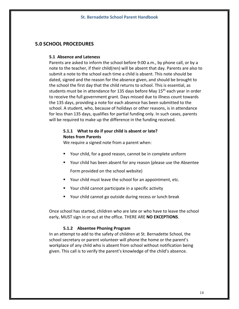# **5.0 SCHOOL PROCEDURES**

#### **5.1 Absence and Lateness**

Parents are asked to inform the school before 9:00 a.m., by phone call, or by a note to the teacher, if their child(ren) will be absent that day. Parents are also to submit a note to the school each time a child is absent. This note should be dated, signed and the reason for the absence given, and should be brought to the school the first day that the child returns to school. This is essential, as students must be in attendance for 135 days before May  $15<sup>th</sup>$  each year in order to receive the full government grant. Days missed due to illness count towards the 135 days, providing a note for each absence has been submitted to the school. A student, who, because of holidays or other reasons, is in attendance for less than 135 days, qualifies for partial funding only. In such cases, parents will be required to make up the difference in the funding received.

# **5.1.1 What to do if your child is absent or late? Notes from Parents**

We require a signed note from a parent when:

- Your child, for a good reason, cannot be in complete uniform
- Your child has been absent for any reason (please use the Absentee Form provided on the school website)
- Your child must leave the school for an appointment, etc.
- § Your child cannot participate in a specific activity
- Your child cannot go outside during recess or lunch break

Once school has started, children who are late or who have to leave the school early, MUST sign in or out at the office. THERE ARE **NO EXCEPTIONS**.

#### **5.1.2 Absentee Phoning Program**

In an attempt to add to the safety of children at St. Bernadette School, the school secretary or parent volunteer will phone the home or the parent's workplace of any child who is absent from school without notification being given. This call is to verify the parent's knowledge of the child's absence.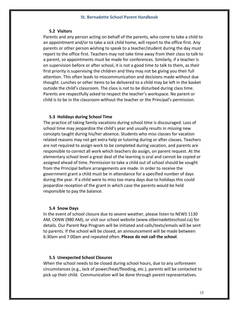#### **5.2 Visitors**

Parents and any person acting on behalf of the parents, who come to take a child to an appointment and/or to take a sick child home, will report to the office first. Any parents or other person wishing to speak to a teacher/student during the day must report to the office first. Teachers may not take time away from their class to talk to a parent, so appointments must be made for conferences. Similarly, if a teacher is on supervision before or after school, it is not a good time to talk to them, as their first priority is supervising the children and they may not be giving you their full attention. This often leads to miscommunication and decisions made without due thought. Lunches or other items to be delivered to a child may be left in the basket outside the child's classroom. The class is not to be disturbed during class time. Parents are respectfully asked to respect the teacher's workspace. No parent or child is to be in the classroom without the teacher or the Principal's permission.

#### **5.3 Holidays during School Time**

The practice of taking family vacations during school time is discouraged. Loss of school time may jeopardize the child's year and usually results in missing new concepts taught during his/her absence. Students who miss classes for vacation related reasons may not get extra help or tutoring during or after classes. Teachers are not required to assign work to be completed during vacation, and parents are responsible to correct all work which teachers do assign, on parent request. At the elementary school level a great deal of the learning is oral and cannot be copied or assigned ahead of time. Permission to take a child out of school should be sought from the Principal before arrangements are made. In order to receive the government grant a child must be in attendance for a specified number of days during the year. If a child were to miss too many days due to holidays this could jeopardize reception of the grant in which case the parents would be held responsible to pay the balance.

#### **5.4 Snow Days**

In the event of school closure due to severe weather, please listen to NEWS 1130 AM, CKNW (980 AM), or visit our school website (www.stbernadetteschool.ca) for details. Our Parent Rep Program will be initiated and calls/texts/emails will be sent to parents. If the school will be closed, an announcement will be made between 6:30am and 7:00am and repeated often. **Please do not call the school**.

#### **5.5 Unexpected School Closures**

When the school needs to be closed during school hours, due to any unforeseen circumstances (e.g., lack of power/heat/flooding, etc.), parents will be contacted to pick up their child. Communication will be done through parent representatives.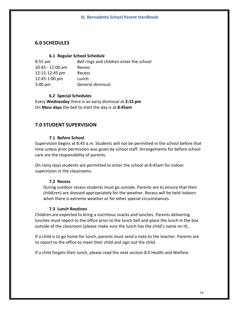# **6.0 SCHEDULES**

#### **6.1 Regular School Schedule**

| $8:55$ am          | Bell rings and children enter the school |
|--------------------|------------------------------------------|
| $10:45 - 11:00$ am | Recess                                   |
| 12:15-12:45 pm     | Recess                                   |
| 12:45-1:00 pm      | Lunch                                    |
| $3:00 \text{ pm}$  | General dismissal                        |

#### **6.2 Special Schedules**

Every **Wednesday** there is an early dismissal at **2:15 pm** On **Mass days** the bell to start the day is at **8:45am**

# **7.0 STUDENT SUPERVISION**

## **7.1 Before School**

Supervision begins at 8:45 a.m. Students will not be permitted in the school before that time unless prior permission was given by school staff. Arrangements for before school care are the responsibility of parents.

On rainy days students are permitted to enter the school at 8:45am for indoor supervision in the classrooms.

#### **7.2 Recess**

During outdoor recess students must go outside. Parents are to ensure that their child(ren) are dressed appropriately for the weather. Recess will be held indoors when there is extreme weather or for other special circumstances.

#### **7.3 Lunch Routines**

Children are expected to bring a nutritious snacks and lunches. Parents delivering lunches must report to the office prior to the lunch bell and place the lunch in the box outside of the classroom (please make sure the lunch has the child's name on it).

If a child is to go home for lunch, parents must send a note to the teacher. Parents are to report to the office to meet their child and sign out the child.

If a child forgets their lunch, please read the next section 8.0 Health and Welfare.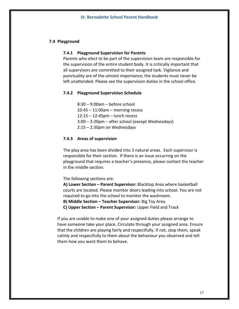#### **7.4 Playground**

#### **7.4.1 Playground Supervision for Parents**

Parents who elect to be part of the supervision team are responsible for the supervision of the entire student body. It is critically important that all supervisors are committed to their assigned task. Vigilance and punctuality are of the utmost importance; the students must never be left unattended. Please see the supervision duties in the school office.

#### **7.4.2 Playground Supervision Schedule**

8:30 – 9:00am – before school 10:45 – 11:00am – morning recess 12:15 – 12:45pm – lunch recess 3:00 – 3:20pm – after school (except Wednesdays) 2:15 – 2:30pm on Wednesdays

#### **7.4.3 Areas of supervision**

The play area has been divided into 3 natural areas. Each supervisor is responsible for their section. If there is an issue occurring on the playground that requires a teacher's presence, please contact the teacher in the middle section.

The following sections are:

**A) Lower Section – Parent Supervisor:** Blacktop Area where basketball courts are located. Please monitor doors leading into school. You are not required to go into the school to monitor the washroom.

**B) Middle Section – Teacher Supervisor:** Big Toy Area

**C) Upper Section – Parent Supervisor:** Upper Field and Track

If you are unable to make one of your assigned duties please arrange to have someone take your place. Circulate through your assigned area. Ensure that the children are playing fairly and respectfully. If not, stop them, speak calmly and respectfully to them about the behaviour you observed and tell them how you want them to behave.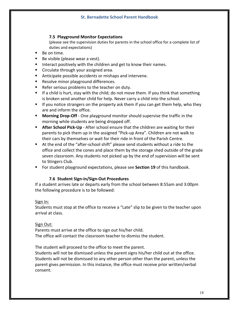## **7.5 Playground Monitor Expectations**

(please see the supervision duties for parents in the school office for a complete list of duties and expectations)

- Be on time.
- Be visible (please wear a vest).
- Interact positively with the children and get to know their names.
- Circulate through your assigned area.
- Anticipate possible accidents or mishaps and intervene.
- Resolve minor playground differences.
- Refer serious problems to the teacher on duty.
- If a child is hurt, stay with the child; do not move them. If you think that something is broken send another child for help. Never carry a child into the school.
- If you notice strangers on the property ask them if you can get them help, who they are and inform the office.
- **Morning Drop-Off** One playground monitor should supervise the traffic in the morning while students are being dropped off.
- **After School Pick-Up** After school ensure that the children are waiting for their parents to pick them up in the assigned "Pick-up Area". Children are not walk to their cars by themselves or wait for their ride in front of the Parish Centre.
- At the end of the "after-school shift" please send students without a ride to the office and collect the cones and place them by the storage shed outside of the grade seven classroom. Any students not picked up by the end of supervision will be sent to Stingers Club.
- For student playground expectations, please see **Section 19** of this handbook.

#### **7.6 Student Sign-in/Sign-Out Procedures**

If a student arrives late or departs early from the school between 8:55am and 3:00pm the following procedure is to be followed:

#### Sign In:

Students must stop at the office to receive a "Late" slip to be given to the teacher upon arrival at class.

#### Sign Out:

Parents must arrive at the office to sign out his/her child. The office will contact the classroom teacher to dismiss the student.

The student will proceed to the office to meet the parent.

Students will not be dismissed unless the parent signs his/her child out at the office. Students will not be dismissed to any other person other than the parent, unless the parent gives permission. In this instance, the office must receive prior written/verbal consent.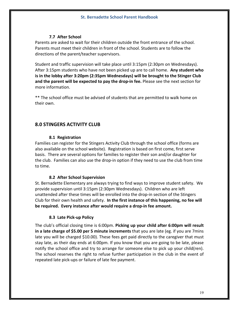#### **7.7 After School**

Parents are asked to wait for their children outside the front entrance of the school. Parents must meet their children in front of the school. Students are to follow the directions of the parent/teacher supervisors.

Student and traffic supervision will take place until 3:15pm (2:30pm on Wednesdays). After 3:15pm students who have not been picked up are to call home. **Any student who is in the lobby after 3:20pm (2:35pm Wednesdays) will be brought to the Stinger Club and the parent will be expected to pay the drop-in fee.** Please see the next section for more information.

\*\* The school office must be advised of students that are permitted to walk home on their own.

# **8.0 STINGERS ACTIVITY CLUB**

#### **8.1 Registration**

Families can register for the Stingers Activity Club through the school office (forms are also available on the school website). Registration is based on first come, first serve basis. There are several options for families to register their son and/or daughter for the club. Families can also use the drop-in option if they need to use the club from time to time.

#### **8.2 After School Supervision**

St. Bernadette Elementary are always trying to find ways to improve student safety. We provide supervision until 3:15pm (2:30pm Wednesdays). Children who are left unattended after these times will be enrolled into the drop-in section of the Stingers Club for their own health and safety. **In the first instance of this happening, no fee will be required. Every instance after would require a drop-in fee amount.**

# **8.3 Late Pick-up Policy**

The club's official closing time is 6:00pm. **Picking up your child after 6:00pm will result in a late charge of \$5.00 per 5 minute increments** that you are late (eg. if you are 7mins late you will be charged \$10.00). These fees get paid directly to the caregiver that must stay late, as their day ends at 6:00pm. If you know that you are going to be late, please notify the school office and try to arrange for someone else to pick up your child(ren). The school reserves the right to refuse further participation in the club in the event of repeated late pick-ups or failure of late fee payment.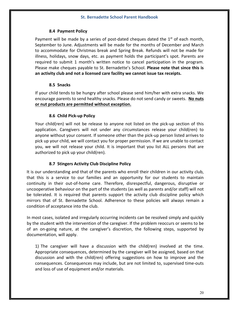## **8.4 Payment Policy**

Payment will be made by a series of post-dated cheques dated the  $1<sup>st</sup>$  of each month, September to June. Adjustments will be made for the months of December and March to accommodate for Christmas break and Spring Break. Refunds will not be made for illness, holidays, snow days, etc. as payment holds the participant's spot. Parents are required to submit 1 month's written notice to cancel participation in the program. Please make cheques payable to St. Bernadette's School. **Please note that since this is an activity club and not a licensed care facility we cannot issue tax receipts.**

## **8.5 Snacks**

If your child tends to be hungry after school please send him/her with extra snacks. We encourage parents to send healthy snacks. Please do not send candy or sweets. **No nuts or nut products are permitted without exception.**

## **8.6 Child Pick-up Policy**

Your child(ren) will not be release to anyone not listed on the pick-up section of this application. Caregivers will not under any circumstances release your child(ren) to anyone without your consent. If someone other than the pick-up person listed arrives to pick up your child, we will contact you for proper permission. If we are unable to contact you, we will not release your child. It is important that you list ALL persons that are authorized to pick up your child(ren).

# **8.7 Stingers Activity Club Discipline Policy**

It is our understanding and that of the parents who enroll their children in our activity club, that this is a service to our families and an opportunity for our students to maintain continuity in their out-of-home care. Therefore, disrespectful, dangerous, disruptive or uncooperative behaviour on the part of the students (as well as parents and/or staff) will not be tolerated. It is required that parents support the activity club discipline policy which mirrors that of St. Bernadette School. Adherence to these policies will always remain a condition of acceptance into the club.

In most cases, isolated and irregularly occurring incidents can be resolved simply and quickly by the student with the intervention of the caregiver. If the problem reoccurs or seems to be of an on-going nature, at the caregiver's discretion, the following steps, supported by documentation, will apply.

1) The caregiver will have a discussion with the child(ren) involved at the time. Appropriate consequences, determined by the caregiver will be assigned, based on that discussion and with the child(ren) offering suggestions on how to improve and the consequences. Consequences may include, but are not limited to, supervised time-outs and loss of use of equipment and/or materials.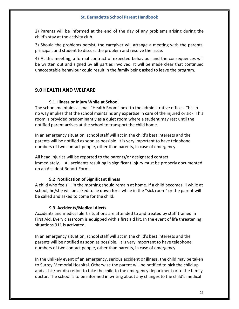2) Parents will be informed at the end of the day of any problems arising during the child's stay at the activity club.

3) Should the problems persist, the caregiver will arrange a meeting with the parents, principal, and student to discuss the problem and resolve the issue.

4) At this meeting, a formal contract of expected behaviour and the consequences will be written out and signed by all parties involved. It will be made clear that continued unacceptable behaviour could result in the family being asked to leave the program.

# **9.0 HEALTH AND WELFARE**

# **9.1 Illness or Injury While at School**

The school maintains a small "Health Room" next to the administrative offices. This in no way implies that the school maintains any expertise in care of the injured or sick. This room is provided predominantly as a quiet room where a student may rest until the notified parent arrives at the school to transport the child home.

In an emergency situation, school staff will act in the child's best interests and the parents will be notified as soon as possible. It is very important to have telephone numbers of two contact people, other than parents, in case of emergency.

All head injuries will be reported to the parents/or designated contact immediately. All accidents resulting in significant injury must be properly documented on an Accident Report Form.

# **9.2 Notification of Significant Illness**

A child who feels ill in the morning should remain at home. If a child becomes ill while at school, he/she will be asked to lie down for a while in the "sick room" or the parent will be called and asked to come for the child.

# **9.3 Accidents/Medical Alerts**

Accidents and medical alert situations are attended to and treated by staff trained in First Aid. Every classroom is equipped with a first aid kit. In the event of life threatening situations 911 is activated.

In an emergency situation, school staff will act in the child's best interests and the parents will be notified as soon as possible. It is very important to have telephone numbers of two contact people, other than parents, in case of emergency.

In the unlikely event of an emergency, serious accident or illness, the child may be taken to Surrey Memorial Hospital. Otherwise the parent will be notified to pick the child up and at his/her discretion to take the child to the emergency department or to the family doctor. The school is to be informed in writing about any changes to the child's medical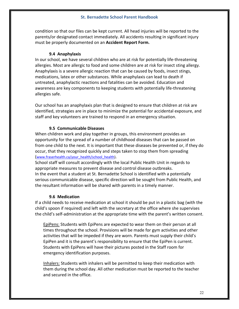condition so that our files can be kept current. All head injuries will be reported to the parents/or designated contact immediately. All accidents resulting in significant injury must be properly documented on an **Accident Report Form.**

## **9.4 Anaphylaxis**

In our school, we have several children who are at risk for potentially life-threatening allergies. Most are allergic to food and some children are at risk for insect sting allergy. Anaphylaxis is a severe allergic reaction that can be caused by foods, insect stings, medications, latex or other substances. While anaphylaxis can lead to death if untreated, anaphylactic reactions and fatalities can be avoided. Education and awareness are key components to keeping students with potentially life-threatening allergies safe.

Our school has an anaphylaxis plan that is designed to ensure that children at risk are identified, strategies are in place to minimize the potential for accidental exposure, and staff and key volunteers are trained to respond in an emergency situation.

## **9.5 Communicable Diseases**

When children work and play together in groups, this environment provides an opportunity for the spread of a number of childhood diseases that can be passed on from one child to the next. It is important that these diseases be prevented or, if they do occur, that they recognized quickly and steps taken to stop them from spreading (www.fraserhealth.ca/your\_health/school\_health).

School staff will consult accordingly with the local Public Health Unit in regards to appropriate measures to prevent disease and control disease outbreaks. In the event that a student at St. Bernadette School is identified with a potentially serious communicable disease, specific direction will be sought from Public Health, and the resultant information will be shared with parents in a timely manner.

#### **9.6 Medication**

If a child needs to receive medication at school it should be put in a plastic bag (with the child's spoon if required) and left with the secretary at the office where she supervises the child's self-administration at the appropriate time with the parent's written consent.

EpiPens: Students with EpiPens are expected to wear them on their person at all times throughout the school. Provisions will be made for gym activities and other activities that will be impeded if they are worn. Parents must supply their child's EpiPen and it is the parent's responsibility to ensure that the EpiPen is current. Students with EpiPens will have their pictures posted in the Staff room for emergency identification purposes.

Inhalers: Students with inhalers will be permitted to keep their medication with them during the school day. All other medication must be reported to the teacher and secured in the office.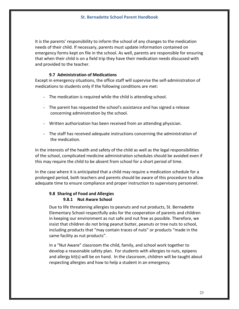It is the parents' responsibility to inform the school of any changes to the medication needs of their child. If necessary, parents must update information contained on emergency forms kept on file in the school. As well, parents are responsible for ensuring that when their child is on a field trip they have their medication needs discussed with and provided to the teacher.

#### **9.7 Administration of Medications**

Except in emergency situations, the office staff will supervise the self-administration of medications to students only if the following conditions are met:

- The medication is required while the child is attending school.
- The parent has requested the school's assistance and has signed a release concerning administration by the school.
- Written authorization has been received from an attending physician.
- The staff has received adequate instructions concerning the administration of the medication.

In the interests of the health and safety of the child as well as the legal responsibilities of the school, complicated medicine administration schedules should be avoided even if this may require the child to be absent from school for a short period of time.

In the case where it is anticipated that a child may require a medication schedule for a prolonged period, both teachers and parents should be aware of this procedure to allow adequate time to ensure compliance and proper instruction to supervisory personnel.

#### **9.8 Sharing of Food and Allergies 9.8.1 Nut Aware School**

Due to life threatening allergies to peanuts and nut products, St. Bernadette Elementary School respectfully asks for the cooperation of parents and children in keeping our environment as nut safe and nut free as possible. Therefore, we insist that children do not bring peanut butter, peanuts or tree nuts to school, including products that "may contain traces of nuts" or products "made in the same facility as nut products".

In a "Nut Aware" classroom the child, family, and school work together to develop a reasonable safety plan. For students with allergies to nuts, epipens and allergy kit(s) will be on hand. In the classroom, children will be taught about respecting allergies and how to help a student in an emergency.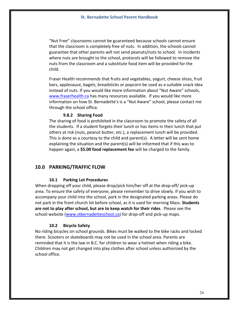"Nut Free" classrooms cannot be guaranteed because schools cannot ensure that the classroom is completely free of nuts. In addition, the schools cannot guarantee that other parents will not send peanuts/nuts to school. In incidents where nuts are brought to the school, protocols will be followed to remove the nuts from the classroom and a substitute food item will be provided for the child.

Fraser Health recommends that fruits and vegetables, yogurt, cheese slices, fruit bars, applesauce, bagels, breadsticks or popcorn be used as a suitable snack idea instead of nuts. If you would like more information about "Nut Aware" schools, www.fraserhealth.ca has many resources available. If you would like more information on how St. Bernadette's is a "Nut Aware" school, please contact me through the school office.

#### **9.8.2 Sharing Food**

The sharing of food is prohibited in the classroom to promote the safety of all the students. If a student forgets their lunch or has items in their lunch that put others at risk (nuts, peanut butter, etc.), a replacement lunch will be provided. This is done as a courtesy to the child and parent(s). A letter will be sent home explaining the situation and the parent(s) will be informed that if this was to happen again, a **\$5.00 food replacement fee** will be charged to the family.

# **10.0 PARKING/TRAFFIC FLOW**

#### **10.1 Parking Lot Procedures**

When dropping off your child, please drop/pick him/her off at the drop-off/ pick-up area. To ensure the safety of everyone, please remember to drive slowly. If you wish to accompany your child into the school, park in the designated parking areas. Please do not park in the front church lot before school, as it is used for morning Mass. **Students are not to play after school, but are to keep watch for their rides**. Please see the school website (www.stbernadetteschool.ca) for drop-off and pick-up maps.

#### **10.2 Bicycle Safety**

No riding bicycles on school grounds. Bikes must be walked to the bike racks and locked there. Scooters or skateboards may not be used in the school area. Parents are reminded that it is the law in B.C. for children to wear a helmet when riding a bike. Children may not get changed into play clothes after school unless authorized by the school office.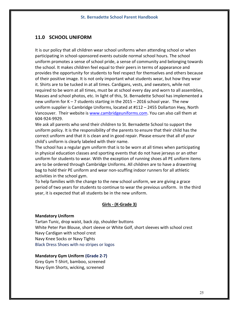# **11.0 SCHOOL UNIFORM**

It is our policy that all children wear school uniforms when attending school or when participating in school-sponsored events outside normal school hours. The school uniform promotes a sense of school pride, a sense of community and belonging towards the school. It makes children feel equal to their peers in terms of appearance and provides the opportunity for students to feel respect for themselves and others because of their positive image. It is not only important what students wear, but how they wear it. Shirts are to be tucked in at all times. Cardigans, vests, and sweaters, while not required to be worn at all times, must be at school every day and worn to all assemblies, Masses and school photos, etc. In light of this, St. Bernadette School has implemented a new uniform for  $K - 7$  students starting in the 2015 – 2016 school year. The new uniform supplier is Cambridge Uniforms, located at #112 – 2455 Dollarton Hwy, North Vancouver. Their website is www.cambridgeuniforms.com. You can also call them at 604-924-9929.

We ask all parents who send their children to St. Bernadette School to support the uniform policy. It is the responsibility of the parents to ensure that their child has the correct uniform and that it is clean and in good repair. Please ensure that all of your child's uniform is clearly labeled with their name.

The school has a regular gym uniform that is to be worn at all times when participating in physical education classes and sporting events that do not have jerseys or an other uniform for students to wear. With the exception of running shoes all PE uniform items are to be ordered through Cambridge Uniforms. All children are to have a drawstring bag to hold their PE uniform and wear non-scuffing indoor runners for all athletic activities in the school gym.

To help families with the change to the new school uniform, we are giving a grace period of two years for students to continue to wear the previous uniform. In the third year, it is expected that all students be in the new uniform.

# **Girls - (K-Grade 3)**

#### **Mandatory Uniform**

Tartan Tunic, drop waist, back zip, shoulder buttons White Peter Pan Blouse, short sleeve or White Golf, short sleeves with school crest Navy Cardigan with school crest Navy Knee Socks or Navy Tights Black Dress Shoes with no stripes or logos

#### **Mandatory Gym Uniform (Grade 2-7)**

Grey Gym T-Shirt, bamboo, screened Navy Gym Shorts, wicking, screened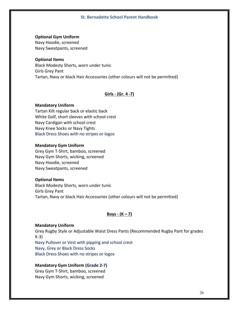#### **Optional Gym Uniform**

Navy Hoodie, screened Navy Sweatpants, screened

#### **Optional Items**

Black Modesty Shorts, worn under tunic Girls Grey Pant Tartan, Navy or black Hair Accessories (other colours will not be permitted)

## **Girls - (Gr. 4 -7)**

#### **Mandatory Uniform**

Tartan Kilt regular back or elastic back White Golf, short sleeves with school crest Navy Cardigan with school crest Navy Knee Socks or Navy Tights Black Dress Shoes with no stripes or logos

#### **Mandatory Gym Uniform**

Grey Gym T-Shirt, bamboo, screened Navy Gym Shorts, wicking, screened Navy Hoodie, screened Navy Sweatpants, screened

#### **Optional Items**

Black Modesty Shorts, worn under tunic Girls Grey Pant Tartan, Navy or black Hair Accessories (other colours will not be permitted)

# **Boys - (K – 7)**

#### **Mandatory Uniform**

Grey Rugby Style or Adjustable Waist Dress Pants (Recommended Rugby Pant for grades K-3) Navy Pullover or Vest with pipping and school crest Navy, Grey or Black Dress Socks Black Dress Shoes with no stripes or logos

#### **Mandatory Gym Uniform (Grade 2-7)**

Grey Gym T-Shirt, bamboo, screened Navy Gym Shorts, wicking, screened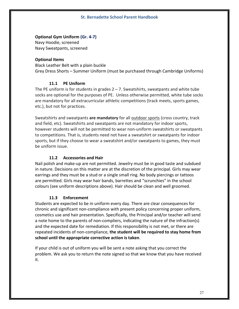#### **Optional Gym Uniform (Gr. 4-7)**

Navy Hoodie, screened Navy Sweatpants, screened

#### **Optional Items**

Black Leather Belt with a plain buckle Grey Dress Shorts – Summer Uniform (must be purchased through Cambridge Uniforms)

## **11.1 PE Uniform**

The PE uniform is for students in grades  $2 - 7$ . Sweatshirts, sweatpants and white tube socks are optional for the purposes of PE. Unless otherwise permitted, white tube socks are mandatory for all extracurricular athletic competitions (track meets, sports games, etc.), but not for practices.

Sweatshirts and sweatpants **are mandatory** for all outdoor sports (cross country, track and field, etc). Sweatshirts and sweatpants are not mandatory for indoor sports, however students will not be permitted to wear non-uniform sweatshirts or sweatpants to competitions. That is, students need not have a sweatshirt or sweatpants for indoor sports, but if they choose to wear a sweatshirt and/or sweatpants to games, they must be uniform issue.

# **11.2 Accessories and Hair**

Nail polish and make-up are not permitted. Jewelry must be in good taste and subdued in nature. Decisions on this matter are at the discretion of the principal. Girls may wear earrings and they must be a stud or a single small ring. No body piercings or tattoos are permitted. Girls may wear hair bands, barrettes and "scrunchies" in the school colours (see uniform descriptions above). Hair should be clean and well groomed.

#### **11.3 Enforcement**

Students are expected to be in uniform every day. There are clear consequences for chronic and significant non-compliance with present policy concerning proper uniform, cosmetics use and hair presentation. Specifically, the Principal and/or teacher will send a note home to the parents of non-compliers, indicating the nature of the infraction(s) and the expected date for remediation. If this responsibility is not met, or there are repeated incidents of non-compliance, **the student will be required to stay home from school until the appropriate corrective action is taken**.

If your child is out of uniform you will be sent a note asking that you correct the problem. We ask you to return the note signed so that we know that you have received it.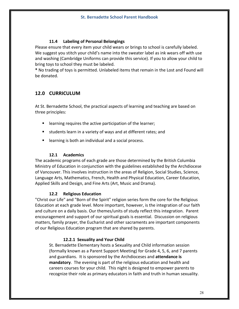# **11.4 Labeling of Personal Belongings**

Please ensure that every item your child wears or brings to school is carefully labeled. We suggest you stitch your child's name into the sweater label as ink wears off with use and washing (Cambridge Uniforms can provide this service). If you to allow your child to bring toys to school they must be labeled.

**\*** No trading of toys is permitted. Unlabeled items that remain in the Lost and Found will be donated.

# **12.0 CURRICULUM**

At St. Bernadette School, the practical aspects of learning and teaching are based on three principles:

- learning requires the active participation of the learner;
- students learn in a variety of ways and at different rates; and
- learning is both an individual and a social process.

# **12.1 Academics**

The academic programs of each grade are those determined by the British Columbia Ministry of Education in conjunction with the guidelines established by the Archdiocese of Vancouver. This involves instruction in the areas of Religion, Social Studies, Science, Language Arts, Mathematics, French, Health and Physical Education, Career Education, Applied Skills and Design, and Fine Arts (Art, Music and Drama).

#### **12.2 Religious Education**

"Christ our Life" and "Born of the Spirit" religion series form the core for the Religious Education at each grade level. More important, however, is the integration of our faith and culture on a daily basis. Our themes/units of study reflect this integration. Parent encouragement and support of our spiritual goals is essential. Discussion on religious matters, family prayer, the Eucharist and other sacraments are important components of our Religious Education program that are shared by parents.

# **12.2.1 Sexuality and Your Child**

St. Bernadette Elementary hosts a Sexuality and Child information session (formally known as a Parent Support Meeting) for Grade 4, 5, 6, and 7 parents and guardians. It is sponsored by the Archdioceses and **attendance is mandatory**. The evening is part of the religious education and health and careers courses for your child. This night is designed to empower parents to recognize their role as primary educators in faith and truth in human sexuality.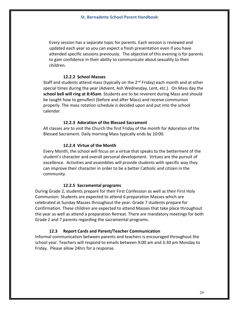Every session has a separate topic for parents. Each session is reviewed and updated each year so you can expect a fresh presentation even if you have attended specific sessions previously. The objective of this evening is for parents to gain confidence in their ability to communicate about sexuality to their children.

#### **12.2.2 School Masses**

Staff and students attend mass (typically on the  $2^{nd}$  Friday) each month and at other special times during the year (Advent, Ash Wednesday, Lent, etc.). On Mass day the **school bell will ring at 8:45am**. Students are to be reverent during Mass and should be taught how to genuflect (before and after Mass) and receive communion properly. The mass rotation schedule is decided upon and put into the school calendar.

#### **12.2.3 Adoration of the Blessed Sacrament**

All classes are to visit the Church the first Friday of the month for Adoration of the Blessed Sacrament. Daily morning Mass typically ends by 10:00.

#### **12.2.4 Virtue of the Month**

Every Month, the school will focus on a virtue that speaks to the betterment of the student's character and overall personal development. Virtues are the pursuit of excellence. Activities and assemblies will provide students with specific way they can improve their character in order to be a better Catholic and citizen in the community.

#### **12.2.5 Sacramental programs**

During Grade 2, students prepare for their First Confession as well as their First Holy Communion. Students are expected to attend 6 preparation Masses which are celebrated at Sunday Masses throughout the year. Grade 7 students prepare for Confirmation. These children are expected to attend Masses that take place throughout the year as well as attend a preparation Retreat. There are mandatory meetings for both Grade 2 and 7 parents regarding the sacramental programs.

#### **12.3 Report Cards and Parent/Teacher Communication**

Informal communication between parents and teachers is encouraged throughout the school year. Teachers will respond to emails between 9:00 am and 3:30 pm Monday to Friday. Please allow 24hrs for a response.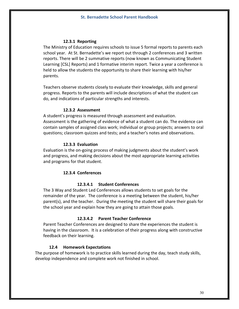## **12.3.1 Reporting**

The Ministry of Education requires schools to issue 5 formal reports to parents each school year. At St. Bernadette's we report out through 2 conferences and 3 written reports. There will be 2 summative reports (now known as Communicating Student Learning [CSL] Reports) and 1 formative interim report. Twice a year a conference is held to allow the students the opportunity to share their learning with his/her parents.

Teachers observe students closely to evaluate their knowledge, skills and general progress. Reports to the parents will include descriptions of what the student can do, and indications of particular strengths and interests.

#### **12.3.2 Assessment**

A student's progress is measured through assessment and evaluation. Assessment is the gathering of evidence of what a student can do. The evidence can contain samples of assigned class work; individual or group projects; answers to oral questions; classroom quizzes and tests; and a teacher's notes and observations.

#### **12.3.3 Evaluation**

Evaluation is the on-going process of making judgments about the student's work and progress, and making decisions about the most appropriate learning activities and programs for that student.

#### **12.3.4 Conferences**

#### **12.3.4.1 Student Conferences**

The 3 Way and Student Led Conferences allows students to set goals for the remainder of the year. The conference is a meeting between the student, his/her parent(s), and the teacher. During the meeting the student will share their goals for the school year and explain how they are going to attain those goals.

#### **12.3.4.2 Parent Teacher Conference**

Parent Teacher Conferences are designed to share the experiences the student is having in the classroom. It is a celebration of their progress along with constructive feedback on their learning.

#### **12.4 Homework Expectations**

The purpose of homework is to practice skills learned during the day, teach study skills, develop independence and complete work not finished in school.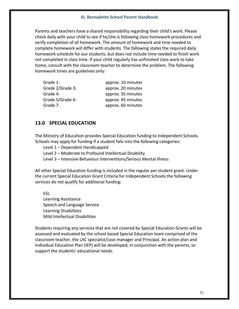Parents and teachers have a shared responsibility regarding their child's work. Please check daily with your child to see if he/she is following class homework procedures and verify completion of all homework. The amount of homework and time needed to complete homework will differ with students. The following states the required daily homework schedule for our students, but does not include time needed to finish work not completed in class time. If your child regularly has unfinished class work to take home, consult with the classroom teacher to determine the problem. The following homework times are guidelines only:

| Grade 1:         | approx. 10 minutes |
|------------------|--------------------|
| Grade 2/Grade 3: | approx. 20 minutes |
| Grade 4:         | approx. 35 minutes |
| Grade 5/Grade 6: | approx. 45 minutes |
| Grade 7:         | approx. 60 minutes |

# **13.0 SPECIAL EDUCATION**

The Ministry of Education provides Special Education funding to Independent Schools. Schools may apply for funding if a student falls into the following categories:

Level 1 – Dependent Handicapped

Level 2 – Moderate to Profound Intellectual Disability

Level 3 – Intensive Behaviour Interventions/Serious Mental Illness

All other Special Education funding is included in the regular per student grant. Under the current Special Education Grant Criteria for Independent Schools the following services do not qualify for additional funding:

ESL Learning Assistance Speech and Language Service Learning Disabilities Mild Intellectual Disabilities

Students requiring any services that are not covered by Special Education Grants will be assessed and evaluated by the school based Special Education team comprised of the classroom teacher, the LAC specialist/case manager and Principal. An action plan and Individual Education Plan (IEP) will be developed, in conjunction with the parents, to support the students' educational needs.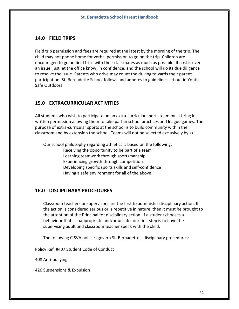# **14.0 FIELD TRIPS**

Field trip permission and fees are required at the latest by the morning of the trip. The child may not phone home for verbal permission to go on the trip. Children are encouraged to go on field trips with their classmates as much as possible. If cost is ever an issue, just let the office know, in confidence, and the school will do its due diligence to resolve the issue. Parents who drive may count the driving towards their parent participation. St. Bernadette School follows and adheres to guidelines set out in Youth Safe Outdoors.

# **15.0 EXTRACURRICULAR ACTIVITIES**

All students who wish to participate on an extra-curricular sports team must bring in written permission allowing them to take part in school practices and league games. The purpose of extra-curricular sports at the school is to build community within the classroom and by extension the school. Teams will not be selected exclusively by skill.

Our school philosophy regarding athletics is based on the following:

Receiving the opportunity to be part of a team Learning teamwork through sportsmanship Experiencing growth through competition Developing specific sports skills and self-confidence Having a safe environment for all of the above

# **16.0 DISCIPLINARY PROCEDURES**

Classroom teachers or supervisors are the first to administer disciplinary action. If the action is considered serious or is repetitive in nature, then it must be brought to the attention of the Principal for disciplinary action. If a student chooses a behaviour that is inappropriate and/or unsafe, our first step is to have the supervising adult and classroom teacher speak with the child.

The following CISVA policies govern St. Bernadette's disciplinary procedures:

Policy Ref. #407 Student Code of Conduct

408 Anti-bullying

426 Suspensions & Expulsion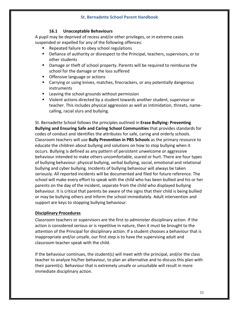# **16.1 Unacceptable Behaviours**

A pupil may be deprived of recess and/or other privileges, or in extreme cases suspended or expelled for any of the following offences:

- § Repeated failure to obey school regulations
- Defiance of authority or disrespect to the Principal, teachers, supervisors, or to other students
- Damage or theft of school property. Parents will be required to reimburse the school for the damage or the loss suffered
- Offensive language or actions
- Carrying or using knives, matches, firecrackers, or any potentially dangerous instruments
- Leaving the school grounds without permission
- Violent actions directed by a student towards another student, supervisor or teacher. This includes physical aggression as well as intimidation, threats, namecalling, racial slurs and bullying.

St. Bernadette School follows the principles outlined in **Erase Bullying: Preventing Bullying and Ensuring Safe and Caring School Communities** that provides standards for codes of conduct and identifies the attributes for safe, caring and orderly schools. Classroom teachers will use **Bully Prevention in PBS Schools** as the primary resource to educate the children about bullying and solutions on how to stop bullying when it occurs. Bullying is defined as any pattern of persistent unwelcome or aggressive behaviour intended to make others uncomfortable, scared or hurt. There are four types of bullying behaviour: physical bullying, verbal bullying, social, emotional and relational bullying and cyber bullying. Incidents of bullying behaviour will always be taken seriously. All reported incidents will be documented and filed for future reference. The school will make every effort to speak with the child who has been bullied and his or her parents on the day of the incident, separate from the child who displayed bullying behaviour. It is critical that parents be aware of the signs that their child is being bullied or may be bullying others and inform the school immediately. Adult intervention and support are keys to stopping bullying behaviour.

# **Disciplinary Procedures**

Classroom teachers or supervisors are the first to administer disciplinary action. If the action is considered serious or is repetitive in nature, then it must be brought to the attention of the Principal for disciplinary action. If a student chooses a behaviour that is inappropriate and/or unsafe, our first step is to have the supervising adult and classroom teacher speak with the child.

If the behaviour continues, the student(s) will meet with the principal, and/or the class teacher to analyze his/her behaviour, to plan an alternative and to discuss this plan with their parent(s). Behaviour that is extremely unsafe or unsuitable will result in more immediate disciplinary action.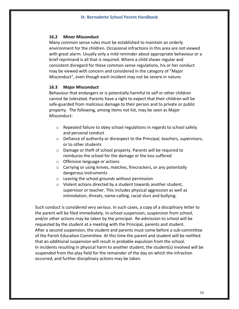#### **16.2 Minor Misconduct**

Many common sense rules must be established to maintain an orderly environment for the children. Occasional infractions in this area are not viewed with great alarm. Usually only a mild reminder about appropriate behaviour or a brief reprimand is all that is required. Where a child shows regular and consistent disregard for these common sense regulations, his or her conduct may be viewed with concern and considered in the category of "Major Misconduct", even though each incident may not be severe in nature.

#### **16.3 Major Misconduct**

Behaviour that endangers or is potentially harmful to self or other children cannot be tolerated. Parents have a right to expect that their children will be safe-guarded from malicious damage to their person and to private or public property. The following, among items not list, may be seen as Major Misconduct:

- o Repeated failure to obey school regulations in regards to school safety and personal conduct
- $\circ$  Defiance of authority or disrespect to the Principal, teachers, supervisors, or to other students
- o Damage or theft of school property. Parents will be required to reimburse the school for the damage or the loss suffered
- o Offensive language or actions
- o Carrying or using knives, matches, firecrackers, or any potentially dangerous instruments
- o Leaving the school grounds without permission
- o Violent actions directed by a student towards another student, supervisor or teacher. This includes physical aggression as well as intimidation, threats, name-calling, racial slurs and bullying.

Such conduct is considered very serious. In such cases, a copy of a disciplinary letter to the parent will be filed immediately. In-school suspension, suspension from school, and/or other actions may be taken by the principal. Re-admission to school will be requested by the student at a meeting with the Principal, parents and student. After a second suspension, the student and parents must come before a sub-committee of the Parish Education Committee. At this time the parent and student will be notified that an additional suspension will result in probable expulsion from the school. In incidents resulting in physical harm to another student, the student(s) involved will be suspended from the play field for the remainder of the day on which the infraction occurred, and further disciplinary actions may be taken.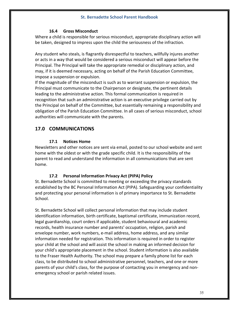#### **16.4 Gross Misconduct**

Where a child is responsible for serious misconduct, appropriate disciplinary action will be taken, designed to impress upon the child the seriousness of the infraction.

Any student who steals, is flagrantly disrespectful to teachers, willfully injures another or acts in a way that would be considered a serious misconduct will appear before the Principal. The Principal will take the appropriate remedial or disciplinary action, and may, if it is deemed necessary, acting on behalf of the Parish Education Committee, impose a suspension or expulsion.

If the magnitude of the misconduct is such as to warrant suspension or expulsion, the Principal must communicate to the Chairperson or designate, the pertinent details leading to the administrative action. This formal communication is required in recognition that such an administrative action is an executive privilege carried out by the Principal on behalf of the Committee, but essentially remaining a responsibility and obligation of the Parish Education Committee. In all cases of serious misconduct, school authorities will communicate with the parents.

# **17.0 COMMUNICATIONS**

## **17.1 Notices Home**

Newsletters and other notices are sent via email, posted to our school website and sent home with the oldest or with the grade specific child. It is the responsibility of the parent to read and understand the information in all communications that are sent home.

# **17.2 Personal Information Privacy Act (PIPA) Policy**

St. Bernadette School is committed to meeting or exceeding the privacy standards established by the BC Personal Information Act (PIPA). Safeguarding your confidentiality and protecting your personal information is of primary importance to St. Bernadette School.

St. Bernadette School will collect personal information that may include student identification information, birth certificate, baptismal certificate, immunization record, legal guardianship, court orders if applicable, student behavioural and academic records, health insurance number and parents' occupation, religion, parish and envelope number, work numbers, e-mail address, home address, and any similar information needed for registration. This information is required in order to register your child at the school and will assist the school in making an informed decision for your child's appropriate placement in the school. Student information is also available to the Fraser Health Authority. The school may prepare a family phone list for each class, to be distributed to school administrative personnel, teachers, and one or more parents of your child's class, for the purpose of contacting you in emergency and nonemergency school or parish related issues.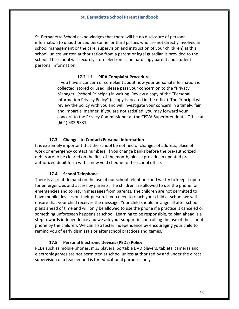St. Bernadette School acknowledges that there will be no disclosure of personal information to unauthorized personnel or third parties who are not directly involved in school management or the care, supervision and instruction of your child(ren) at this school, unless written authorization from a parent or legal guardian is provided to the school. The school will securely store electronic and hard copy parent and student personal information.

#### **17.2.1.1 PIPA Complaint Procedure**

If you have a concern or complaint about how your personal information is collected, stored or used, please pass your concern on to the "Privacy Manager" (school Principal) in writing. Review a copy of the "Personal Information Privacy Policy" (a copy is located in the office). The Principal will review the policy with you and will investigate your concern in a timely, fair and impartial manner. If you are not satisfied, you may forward your concern to the Privacy Commissioner at the CISVA Superintendent's Office at (604) 683-9331.

#### **17.3 Changes to Contact/Personal Information**

It is extremely important that the school be notified of changes of address, place of work or emergency contact numbers. If you change banks before the pre-authorized debits are to be cleared on the first of the month, please provide an updated preauthorized debit form with a new void cheque to the school office.

#### **17.4 School Telephone**

There is a great demand on the use of our school telephone and we try to keep it open for emergencies and access by parents. The children are allowed to use the phone for emergencies and to return messages from parents. The children are not permitted to have mobile devices on their person. If you need to reach your child at school we will ensure that your child receives the message. Your child should arrange all after school plans ahead of time and will only be allowed to use the phone if a practice is canceled or something unforeseen happens at school. Learning to be responsible, to plan ahead is a step towards independence and we ask your support in controlling the use of the school phone by the children. We can also foster independence by encouraging your child to remind you of early dismissals or after school practices and games.

#### **17.5 Personal Electronic Devices (PEDs) Policy**

PEDs such as mobile phones, mp3 players, portable DVD players, tablets, cameras and electronic games are not permitted at school unless authorized by and under the direct supervision of a teacher and is for educational purposes only.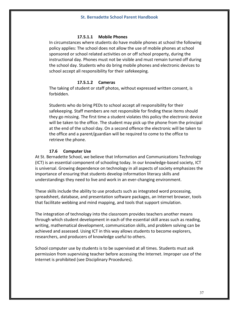#### **17.5.1.1 Mobile Phones**

In circumstances where students do have mobile phones at school the following policy applies: The school does not allow the use of mobile phones at school sponsored or school related activities on or off school property, during the instructional day. Phones must not be visible and must remain turned off during the school day. Students who do bring mobile phones and electronic devices to school accept all responsibility for their safekeeping.

#### **17.5.1.2 Cameras**

The taking of student or staff photos, without expressed written consent, is forbidden.

Students who do bring PEDs to school accept all responsibility for their safekeeping. Staff members are not responsible for finding these items should they go missing. The first time a student violates this policy the electronic device will be taken to the office. The student may pick up the phone from the principal at the end of the school day. On a second offence the electronic will be taken to the office and a parent/guardian will be required to come to the office to retrieve the phone.

#### **17.6 Computer Use**

At St. Bernadette School, we believe that Information and Communications Technology (ICT) is an essential component of schooling today. In our knowledge-based society, ICT is universal. Growing dependence on technology in all aspects of society emphasizes the importance of ensuring that students develop information literacy skills and understandings they need to live and work in an ever-changing environment.

These skills include the ability to use products such as integrated word processing, spreadsheet, database, and presentation software packages, an Internet browser, tools that facilitate webbing and mind mapping, and tools that support simulation.

The integration of technology into the classroom provides teachers another means through which student development in each of the essential skill areas such as reading, writing, mathematical development, communication skills, and problem solving can be achieved and assessed. Using ICT in this way allows students to become explorers, researchers, and producers of knowledge useful to others.

School computer use by students is to be supervised at all times. Students must ask permission from supervising teacher before accessing the Internet. Improper use of the Internet is prohibited (see Disciplinary Procedures).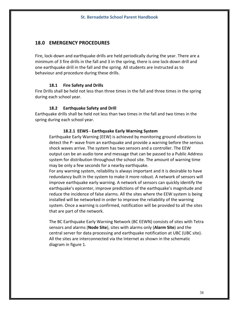# **18.0 EMERGENCY PROCEDURES**

Fire, lock-down and earthquake drills are held periodically during the year. There are a minimum of 3 fire drills in the fall and 3 in the spring, there is one lock-down drill and one earthquake drill in the fall and the spring. All students are instructed as to behaviour and procedure during these drills.

#### **18.1 Fire Safety and Drills**

Fire Drills shall be held not less than three times in the fall and three times in the spring during each school year.

#### **18.2 Earthquake Safety and Drill**

Earthquake drills shall be held not less than two times in the fall and two times in the spring during each school year.

#### **18.2.1 EEWS - Earthquake Early Warning System**

Earthquake Early Warning (EEW) is achieved by monitoring ground vibrations to detect the P- wave from an earthquake and provide a warning before the serious shock waves arrive. The system has two sensors and a controller. The EEW output can be an audio tone and message that can be passed to a Public Address system for distribution throughout the school site. The amount of warning time may be only a few seconds for a nearby earthquake.

For any warning system, reliability is always important and it is desirable to have redundancy built in the system to make it more robust. A network of sensors will improve earthquake early warning. A network of sensors can quickly identify the earthquake's epicenter, improve predictions of the earthquake's magnitude and reduce the incidence of false alarms. All the sites where the EEW system is being installed will be networked in order to improve the reliability of the warning system. Once a warning is confirmed, notification will be provided to all the sites that are part of the network.

The BC Earthquake Early Warning Network (BC EEWN) consists of sites with Tetra sensors and alarms (**Node Site**), sites with alarms only (**Alarm Site**) and the central server for data processing and earthquake notification at UBC (UBC site). All the sites are interconnected via the Internet as shown in the schematic diagram in figure 1.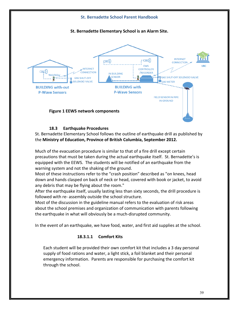

## **18.3 Earthquake Procedures**

St. Bernadette Elementary School follows the outline of earthquake drill as published by the **Ministry of Education, Province of British Columbia, September 2012.**

Much of the evacuation procedure is similar to that of a fire drill except certain precautions that must be taken during the actual earthquake itself. St. Bernadette's is equipped with the EEWS. The students will be notified of an earthquake from the warning system and not the shaking of the ground.

Most of these instructions refer to the "crash position" described as "on knees, head down and hands clasped on back of neck or head, covered with book or jacket, to avoid any debris that may be flying about the room."

After the earthquake itself, usually lasting less than sixty seconds, the drill procedure is followed with re- assembly outside the school structure.

Most of the discussion in the guideline manual refers to the evaluation of risk areas about the school premises and organization of communication with parents following the earthquake in what will obviously be a much-disrupted community.

In the event of an earthquake, we have food, water, and first aid supplies at the school.

# **18.3.1.1 Comfort Kits**

Each student will be provided their own comfort kit that includes a 3 day personal supply of food rations and water, a light stick, a foil blanket and their personal emergency information. Parents are responsible for purchasing the comfort kit through the school.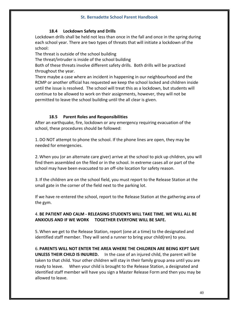## **18.4 Lockdown Safety and Drills**

Lockdown drills shall be held not less than once in the fall and once in the spring during each school year. There are two types of threats that will initiate a lockdown of the school:

The threat is outside of the school building

The threat/intruder is inside of the school building

Both of these threats involve different safety drills. Both drills will be practiced throughout the year.

There maybe a case where an incident in happening in our neighbourhood and the RCMP or another official has requested we keep the school locked and children inside until the issue is resolved. The school will treat this as a lockdown, but students will continue to be allowed to work on their assignments, however, they will not be permitted to leave the school building until the all clear is given.

## **18.5 Parent Roles and Responsibilities**

After an earthquake, fire, lockdown or any emergency requiring evacuation of the school, these procedures should be followed:

1. DO NOT attempt to phone the school. If the phone lines are open, they may be needed for emergencies.

2. When you (or an alternate care giver) arrive at the school to pick up children, you will find them assembled on the filed or in the school. In extreme cases all or part of the school may have been evacuated to an off-site location for safety reason.

3. If the children are on the school field, you must report to the Release Station at the small gate in the corner of the field next to the parking lot.

If we have re-entered the school, report to the Release Station at the gathering area of the gym.

# 4. **BE PATIENT AND CALM - RELEASING STUDENTS WILL TAKE TIME. WE WILL ALL BE ANXIOUS AND IF WE WORK TOGETHER EVERYONE WILL BE SAFE.**

5. When we get to the Release Station, report (one at a time) to the designated and identified staff member. They will send a runner to bring your child(ren) to you.

6. **PARENTS WILL NOT ENTER THE AREA WHERE THE CHILDREN ARE BEING KEPT SAFE UNLESS THEIR CHILD IS INJURED.** In the case of an injured child, the parent will be taken to that child. Your other children will stay in their family group area until you are ready to leave. When your child is brought to the Release Station, a designated and identified staff member will have you sign a Master Release Form and then you may be allowed to leave.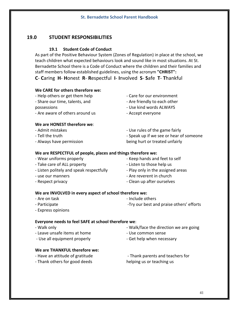# **19.0 STUDENT RESPONSIBILITIES**

# **19.1 Student Code of Conduct**

As part of the Positive Behaviour System (Zones of Regulation) in place at the school, we teach children what expected behaviours look and sound like in most situations. At St. Bernadette School there is a Code of Conduct where the children and their families and staff members follow established guidelines, using the acronym **"CHRIST":**

**C**- **C**aring **H**- **H**onest **R**- **R**espectful **I**- **I**nvolved **S**- **S**afe **T**- **T**hankful

# **We CARE for others therefore we:**

- Help others or get them help

- Share our time, talents, and

- possessions
- Are aware of others around us

# **We are HONEST therefore we**:

- Admit mistakes
- Tell the truth
- Always have permission
- Care for our environment
- Are friendly to each other
- Use kind words ALWAYS
- Accept everyone
- Use rules of the game fairly
- Speak up if we see or hear of someone
- being hurt or treated unfairly

# **We are RESPECTFUL of people, places and things therefore we:**

- Wear uniforms properly
- Take care of ALL property
- Listen politely and speak respectfully
- use our manners
- Respect privacy
- Keep hands and feet to self
- Listen to those help us
- Play only in the assigned areas
- Are reverent in church
- Clean up after ourselves

# **We are INVOLVED in every aspect of school therefore we:**

- Are on task
- Participate

- Include others -Try our best and praise others' efforts

- Express opinions

# **Everyone needs to feel SAFE at school therefore we**:

- Walk only
- Leave unsafe items at home
- Use all equipment properly

# **We are THANKFUL therefore we:**

- Have an attitude of gratitude
- Thank others for good deeds
- Walk/face the direction we are going
- Use common sense
- Get help when necessary

- Thank parents and teachers for helping us or teaching us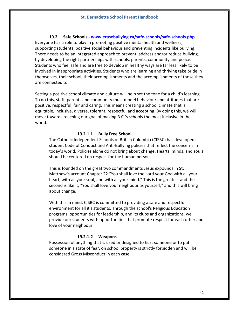**19.2 Safe Schools - www.erasebullying.ca/safe-schools/safe-schools.php** Everyone has a role to play in promoting positive mental health and wellness, supporting students, positive social behaviour and preventing incidents like bullying. There needs to be an integrated approach to prevent, address and/or reduce bullying, by developing the right partnerships with schools, parents, community and police. Students who feel safe and are free to develop in healthy ways are far less likely to be involved in inappropriate activities. Students who are learning and thriving take pride in themselves, their school, their accomplishments and the accomplishments of those they are connected to.

Setting a positive school climate and culture will help set the tone for a child's learning. To do this, staff, parents and community must model behaviour and attitudes that are positive, respectful, fair and caring. This means creating a school climate that is equitable, inclusive, diverse, tolerant, respectful and accepting. By doing this, we will move towards reaching our goal of making B.C.'s schools the most inclusive in the world.

#### **19.2.1.1 Bully Free School**

The Catholic Independent Schools of British Columbia (CISBC) has developed a student Code of Conduct and Anti-Bullying policies that reflect the concerns in today's world. Policies alone do not bring about change. Hearts, minds, and souls should be centered on respect for the human person.

This is founded on the great two commandments Jesus expounds in St. Matthew's account Chapter 22 "You shall love the Lord your God with all your heart, with all your soul, and with all your mind." This is the greatest and the second is like it, "You shall love your neighbour as yourself," and this will bring about change.

With this in mind, CISBC is committed to providing a safe and respectful environment for all it's students. Through the school's Religious Education programs, opportunities for leadership, and its clubs and organizations, we provide our students with opportunities that promote respect for each other and love of your neighbour.

#### **19.2.1.2 Weapons**

Possession of anything that is used or designed to hurt someone or to put someone in a state of fear, on school property is strictly forbidden and will be considered Gross Misconduct in each case.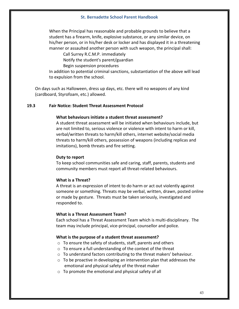When the Principal has reasonable and probable grounds to believe that a student has a firearm, knife, explosive substance, or any similar device, on his/her person, or in his/her desk or locker and has displayed it in a threatening manner or assaulted another person with such weapon, the principal shall:

Call Surrey R.C.M.P. immediately

Notify the student's parent/guardian

Begin suspension procedures

In addition to potential criminal sanctions, substantiation of the above will lead to expulsion from the school.

On days such as Halloween, dress up days, etc. there will no weapons of any kind (cardboard, Styrofoam, etc.) allowed.

#### **19.3 Fair Notice: Student Threat Assessment Protocol**

#### **What behaviours initiate a student threat assessment?**

A student threat assessment will be initiated when behaviours include, but are not limited to, serious violence or violence with intent to harm or kill, verbal/written threats to harm/kill others, internet website/social media threats to harm/kill others, possession of weapons (including replicas and imitations), bomb threats and fire setting.

#### **Duty to report**

To keep school communities safe and caring, staff, parents, students and community members must report all threat-related behaviours.

#### **What is a Threat?**

A threat is an expression of intent to do harm or act out violently against someone or something. Threats may be verbal, written, drawn, posted online or made by gesture. Threats must be taken seriously, investigated and responded to.

#### **What is a Threat Assessment Team?**

Each school has a Threat Assessment Team which is multi-disciplinary. The team may include principal, vice-principal, counsellor and police.

#### **What is the purpose of a student threat assessment?**

- o To ensure the safety of students, staff, parents and others
- o To ensure a full understanding of the context of the threat
- o To understand factors contributing to the threat makers' behaviour.
- $\circ$  To be proactive in developing an intervention plan that addresses the emotional and physical safety of the threat maker
- o To promote the emotional and physical safety of all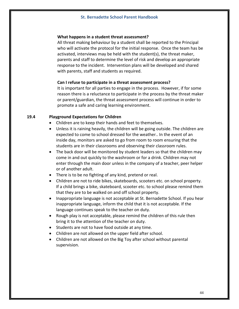#### **What happens in a student threat assessment?**

All threat making behaviour by a student shall be reported to the Principal who will activate the protocol for the initial response. Once the team has be activated, interviews may be held with the student(s), the threat maker, parents and staff to determine the level of risk and develop an appropriate response to the incident. Intervention plans will be developed and shared with parents, staff and students as required.

#### **Can I refuse to participate in a threat assessment process?**

It is important for all parties to engage in the process. However, if for some reason there is a reluctance to participate in the process by the threat maker or parent/guardian, the threat assessment process will continue in order to promote a safe and caring learning environment.

#### **19.4 Playground Expectations for Children**

- Children are to keep their hands and feet to themselves.
- Unless it is raining heavily, the children will be going outside. The children are expected to come to school dressed for the weather.. In the event of an inside day, monitors are asked to go from room to room ensuring that the students are in their classrooms and observing their classroom rules.
- The back door will be monitored by student leaders so that the children may come in and out quickly to the washroom or for a drink. Children may not enter through the main door unless in the company of a teacher, peer helper or of another adult.
- There is to be no fighting of any kind, pretend or real.
- Children are not to ride bikes, skateboards, scooters etc. on school property. If a child brings a bike, skateboard, scooter etc. to school please remind them that they are to be walked on and off school property.
- Inappropriate language is not acceptable at St. Bernadette School. If you hear inappropriate language, inform the child that it is not acceptable. If the language continues speak to the teacher on duty.
- Rough play is not acceptable, please remind the children of this rule then bring it to the attention of the teacher on duty.
- Students are not to have food outside at any time.
- Children are not allowed on the upper field after school.
- Children are not allowed on the Big Toy after school without parental supervision.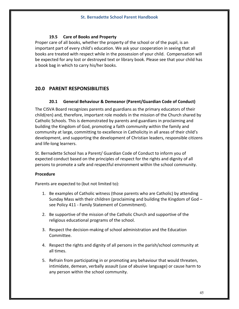## **19.5 Care of Books and Property**

Proper care of all books, whether the property of the school or of the pupil, is an important part of every child's education. We ask your cooperation in seeing that all books are treated with respect while in the possession of your child. Compensation will be expected for any lost or destroyed text or library book. Please see that your child has a book bag in which to carry his/her books.

# **20.0 PARENT RESPONSIBILITIES**

## **20.1 General Behaviour & Demeanor (Parent/Guardian Code of Conduct)**

The CISVA Board recognizes parents and guardians as the primary educators of their child(ren) and, therefore, important role models in the mission of the Church shared by Catholic Schools. This is demonstrated by parents and guardians in proclaiming and building the Kingdom of God, promoting a faith community within the family and community at large, committing to excellence in Catholicity in all areas of their child's development, and supporting the development of Christian leaders, responsible citizens and life-long learners.

St. Bernadette School has a Parent/ Guardian Code of Conduct to inform you of expected conduct based on the principles of respect for the rights and dignity of all persons to promote a safe and respectful environment within the school community.

#### **Procedure**

Parents are expected to (but not limited to):

- 1. Be examples of Catholic witness (those parents who are Catholic) by attending Sunday Mass with their children (proclaiming and building the Kingdom of God – see Policy 411 - Family Statement of Commitment).
- 2. Be supportive of the mission of the Catholic Church and supportive of the religious educational programs of the school.
- 3. Respect the decision-making of school administration and the Education Committee.
- 4. Respect the rights and dignity of all persons in the parish/school community at all times.
- 5. Refrain from participating in or promoting any behaviour that would threaten, intimidate, demean, verbally assault (use of abusive language) or cause harm to any person within the school community.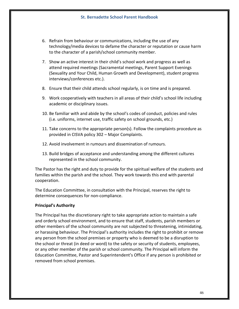- 6. Refrain from behaviour or communications, including the use of any technology/media devices to defame the character or reputation or cause harm to the character of a parish/school community member.
- 7. Show an active interest in their child's school work and progress as well as attend required meetings (Sacramental meetings, Parent Support Evenings (Sexuality and Your Child, Human Growth and Development), student progress interviews/conferences etc.).
- 8. Ensure that their child attends school regularly, is on time and is prepared.
- 9. Work cooperatively with teachers in all areas of their child's school life including academic or disciplinary issues.
- 10. Be familiar with and abide by the school's codes of conduct, policies and rules (i.e. uniforms, internet use, traffic safety on school grounds, etc.)
- 11. Take concerns to the appropriate person(s). Follow the complaints procedure as provided in CISVA policy 302 – Major Complaints.
- 12. Avoid involvement in rumours and dissemination of rumours.
- 13. Build bridges of acceptance and understanding among the different cultures represented in the school community.

The Pastor has the right and duty to provide for the spiritual welfare of the students and families within the parish and the school. They work towards this end with parental cooperation.

The Education Committee, in consultation with the Principal, reserves the right to determine consequences for non-compliance.

#### **Principal's Authority**

The Principal has the discretionary right to take appropriate action to maintain a safe and orderly school environment, and to ensure that staff, students, parish members or other members of the school community are not subjected to threatening, intimidating, or harassing behaviour. The Principal's authority includes the right to prohibit or remove any person from the school premises or property who is deemed to be a disruption to the school or threat (in deed or word) to the safety or security of students, employees, or any other member of the parish or school community. The Principal will inform the Education Committee, Pastor and Superintendent's Office if any person is prohibited or removed from school premises.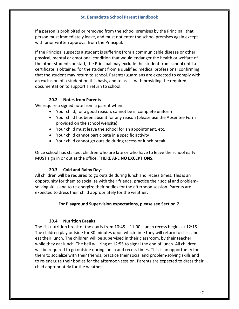If a person is prohibited or removed from the school premises by the Principal, that person must immediately leave, and must not enter the school premises again except with prior written approval from the Principal.

If the Principal suspects a student is suffering from a communicable disease or other physical, mental or emotional condition that would endanger the health or welfare of the other students or staff, the Principal may exclude the student from school until a certificate is obtained for the student from a qualified medical professional confirming that the student may return to school. Parents/ guardians are expected to comply with an exclusion of a student on this basis, and to assist with providing the required documentation to support a return to school.

# **20.2 Notes from Parents**

We require a signed note from a parent when:

- Your child, for a good reason, cannot be in complete uniform
- Your child has been absent for any reason (please use the Absentee Form provided on the school website)
- Your child must leave the school for an appointment, etc.
- Your child cannot participate in a specific activity
- Your child cannot go outside during recess or lunch break

Once school has started, children who are late or who have to leave the school early MUST sign in or out at the office. THERE ARE **NO EXCEPTIONS**.

# **20.3 Cold and Rainy Days**

All children will be required to go outside during lunch and recess times. This is an opportunity for them to socialize with their friends, practice their social and problemsolving skills and to re-energize their bodies for the afternoon session. Parents are expected to dress their child appropriately for the weather.

#### **For Playground Supervision expectations, please see Section 7.**

# **20.4 Nutrition Breaks**

The fist nutrition break of the day is from 10:45 – 11:00. Lunch recess begins at 12:15. The children play outside for 30 minutes upon which time they will return to class and eat their lunch. The children will be supervised in their classroom, by their teacher, while they eat lunch. The bell will ring at 12:55 to signal the end of lunch. All children will be required to go outside during lunch and recess times. This is an opportunity for them to socialize with their friends, practice their social and problem-solving skills and to re-energize their bodies for the afternoon session. Parents are expected to dress their child appropriately for the weather.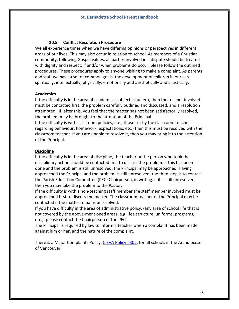#### **20.5 Conflict Resolution Procedure**

We all experience times when we have differing opinions or perspectives in different areas of our lives. This may also occur in relation to school. As members of a Christian community, following Gospel values, all parties involved in a dispute should be treated with dignity and respect. If and/or when problems do occur, please follow the outlined procedures. These procedures apply to anyone wishing to make a complaint. As parents and staff we have a set of common goals, the development of children in our care spiritually, intellectually, physically, emotionally and aesthetically and artistically.

#### **Academics**

If the difficulty is in the area of academics (subjects studied), then the teacher involved must be contacted first, the problem carefully outlined and discussed, and a resolution attempted. If, after this, you feel that the matter has not been satisfactorily resolved, the problem may be brought to the attention of the Principal.

If the difficulty is with classroom policies, (i.e., those set by the classroom teacher regarding behaviour, homework, expectations, etc.) then this must be resolved with the classroom teacher. If you are unable to resolve it, then you may bring it to the attention of the Principal.

#### **Discipline**

If the difficulty is in the area of discipline, the teacher or the person who took the disciplinary action should be contacted first to discuss the problem. If this has been done and the problem is still unresolved, the Principal may be approached. Having approached the Principal and the problem is still unresolved; the third step is to contact the Parish Education Committee (PEC) Chairperson, in writing. If it is still unresolved, then you may take the problem to the Pastor.

If the difficulty is with a non-teaching staff member the staff member involved must be approached first to discuss the matter. The classroom teacher or the Principal may be contacted if the matter remains unresolved.

If you have difficulty in the area of administrative policy, (any area of school life that is not covered by the above-mentioned areas, e.g., fee structure, uniforms, programs, etc.), please contact the Chairperson of the PEC.

The Principal is required by law to inform a teacher when a complaint has been made against him or her, and the nature of the complaint.

There is a Major Complaints Policy, CISVA Policy #302, for all schools in the Archdiocese of Vancouver.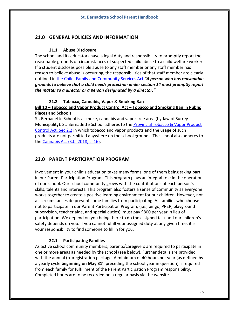# **21.0 GENERAL POLICIES AND INFORMATION**

## **21.1 Abuse Disclosure**

The school and its educators have a legal duty and responsibility to promptly report the reasonable grounds or circumstances of suspected child abuse to a child welfare worker. If a student discloses possible abuse to any staff member or any staff member has reason to believe abuse is occurring, the responsibilities of that staff member are clearly outlined in the Child, Family and Community Services Act *"A person who has reasonable grounds to believe that a child needs protection under section 14 must promptly report the matter to a director or a person designated by a director."*

# **21.2 Tobacco, Cannabis, Vapor & Smoking Ban**

# **Bill 10 – Tobacco and Vapor Product Control Act – Tobacco and Smoking Ban in Public Places and Schools**

St. Bernadette School is a smoke, cannabis and vapor free area (by-law of Surrey Municipality). St. Bernadette School adheres to the Provincial Tobacco & Vapor Product Control Act, Sec 2.2 in which tobacco and vapor products and the usage of such products are not permitted anywhere on the school grounds. The school also adheres to the Cannabis Act (S.C. 2018, c. 16).

# **22.0 PARENT PARTICIPATION PROGRAM**

Involvement in your child's education takes many forms, one of them being taking part in our Parent Participation Program. This program plays an integral role in the operation of our school. Our school community grows with the contributions of each person's skills, talents and interests. This program also fosters a sense of community as everyone works together to create a positive learning environment for our children. However, not all circumstances do prevent some families from participating. All families who choose not to participate in our Parent Participation Program, (i.e., bingo, PREP, playground supervision, teacher aide, and special duties), must pay \$800 per year in lieu of participation. We depend on you being there to do the assigned task and our children's safety depends on you. If you cannot fulfill your assigned duty at any given time, it is your responsibility to find someone to fill in for you.

# **22.1 Participating Families**

As active school community members, parents/caregivers are required to participate in one or more areas as needed by the school (see below). Further details are provided with the annual (re)registration package. A minimum of 40 hours per year (as defined by a yearly cycle **beginning on May 31st** preceding the school year in question) is required from each family for fulfillment of the Parent Participation Program responsibility. Completed hours are to be recorded on a regular basis via the website.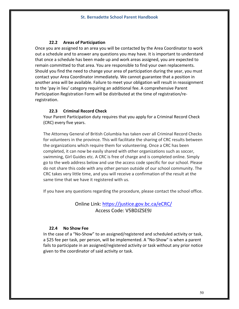## **22.2 Areas of Participation**

Once you are assigned to an area you will be contacted by the Area Coordinator to work out a schedule and to answer any questions you may have. It is important to understand that once a schedule has been made up and work areas assigned, you are expected to remain committed to that area. You are responsible to find your own replacements. Should you find the need to change your area of participation during the year, you must contact your Area Coordinator immediately. We cannot guarantee that a position in another area will be available. Failure to meet your obligation will result in reassignment to the 'pay in lieu' category requiring an additional fee. A comprehensive Parent Participation Registration Form will be distributed at the time of registration/reregistration.

#### **22.3 Criminal Record Check**

Your Parent Participation duty requires that you apply for a Criminal Record Check (CRC) every five years.

The Attorney General of British Columbia has taken over all Criminal Record Checks for volunteers in the province. This will facilitate the sharing of CRC results between the organizations which require them for volunteering. Once a CRC has been completed, it can now be easily shared with other organizations such as soccer, swimming, Girl Guides etc. A CRC is free of charge and is completed online. Simply go to the web address below and use the access code specific for our school. Please do not share this code with any other person outside of our school community. The CRC takes very little time, and you will receive a confirmation of the result at the same time that we have it registered with us.

If you have any questions regarding the procedure, please contact the school office.

# Online Link: https://justice.gov.bc.ca/eCRC/ Access Code: V5BDJZSE9J

#### **22.4 No Show Fee**

In the case of a "No-Show" to an assigned/registered and scheduled activity or task, a \$25 fee per task, per person, will be implemented. A "No-Show" is when a parent fails to participate in an assigned/registered activity or task without any prior notice given to the coordinator of said activity or task.